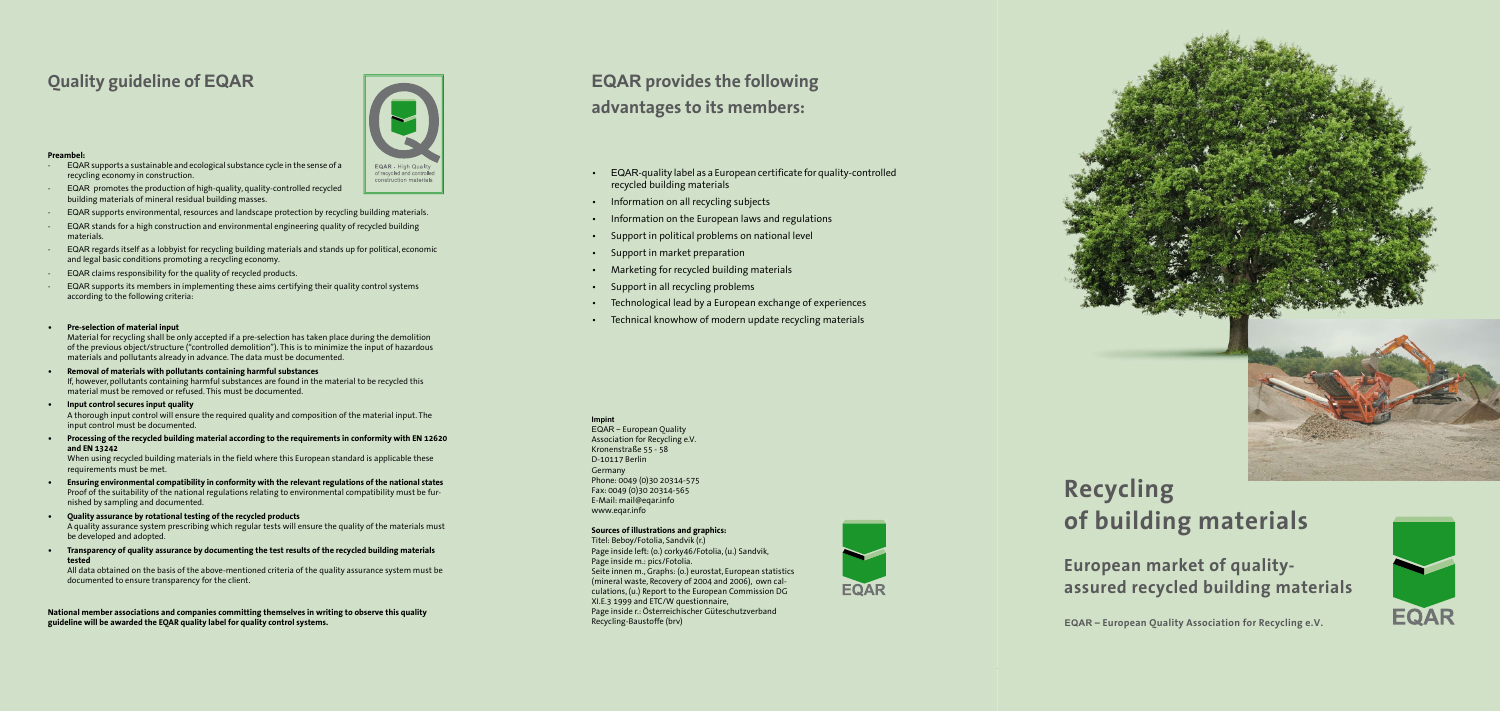- EQAR-quality label as a European certificate for quality-controlled recycled building materials
- Information on all recycling subjects
- Information on the European laws and regulations
- Support in political problems on national level
- Support in market preparation
- Marketing for recycled building materials
- Support in all recycling problems
- Technological lead by a European exchange of experiences
- Technical knowhow of modern update recycling materials

#### **Impint**

EQAR – European Quality Association for Recycling e.V. Kronenstraße 55 - 58 D-10117 Berlin Germany Phone: 0049 (0)30 20314-575 Fax: 0049 (0)30 20314-565 E-Mail: mail@eqar.info www.eqar.info

#### **Sources of illustrations and graphics:**

Titel: Beboy/Fotolia, Sandvik (r.) Page inside left: (o.) corky46/Fotolia, (u.) Sandvik, Page inside m.: pics/Fotolia. Seite innen m., Graphs: (o.) eurostat, European statistics (mineral waste, Recovery of 2004 and 2006), own calculations, (u.) Report to the European Commission DG XI.E.3 1999 and ETC/W questionnaire, Page inside r.: Österreichischer Güteschutzverband Recycling-Baustoffe (brv)







#### **Preambel:**

- EQAR supports a sustainable and ecological substance cycle in the sense of a recycling economy in construction.
- EQAR promotes the production of high-quality, quality-controlled recycled building materials of mineral residual building masses.
- EQAR supports environmental, resources and landscape protection by recycling building materials.
- EQAR stands for a high construction and environmental engineering quality of recycled building materials.
- EQAR regards itself as a lobbyist for recycling building materials and stands up for political, economic and legal basic conditions promoting a recycling economy.
- EQAR claims responsibility for the quality of recycled products.
- EQAR supports its members in implementing these aims certifying their quality control systems according to the following criteria:
- **• Pre-selection of material input**

## **Quality guideline of EQAR EQAR EQAR EQAR EQAR** provides the following **advantages to its members:**

Material for recycling shall be only accepted if a pre-selection has taken place during the demolition of the previous object/structure ("controlled demolition"). This is to minimize the input of hazardous materials and pollutants already in advance. The data must be documented.

- **• Removal of materials with pollutants containing harmful substances** If, however, pollutants containing harmful substances are found in the material to be recycled this material must be removed or refused. This must be documented.
- **• Input control secures input quality** A thorough input control will ensure the required quality and composition of the material input. The input control must be documented.
- **• Processing of the recycled building material according to the requirements in conformity with EN 12620 and EN 13242**

When using recycled building materials in the field where this European standard is applicable these requirements must be met.

- **• Ensuring environmental compatibility in conformity with the relevant regulations of the national states** Proof of the suitability of the national regulations relating to environmental compatibility must be furnished by sampling and documented.
- **• Quality assurance by rotational testing of the recycled products** A quality assurance system prescribing which regular tests will ensure the quality of the materials must be developed and adopted.
- **• Transparency of quality assurance by documenting the test results of the recycled building materials tested**

All data obtained on the basis of the above-mentioned criteria of the quality assurance system must be documented to ensure transparency for the client.

**National member associations and companies committing themselves in writing to observe this quality guideline will be awarded the EQAR quality label for quality control systems.** 

# **Recycling of building materials**

**European market of qualityassured recycled building materials**

**EQAR – European Quality Association for Recycling e.V.**